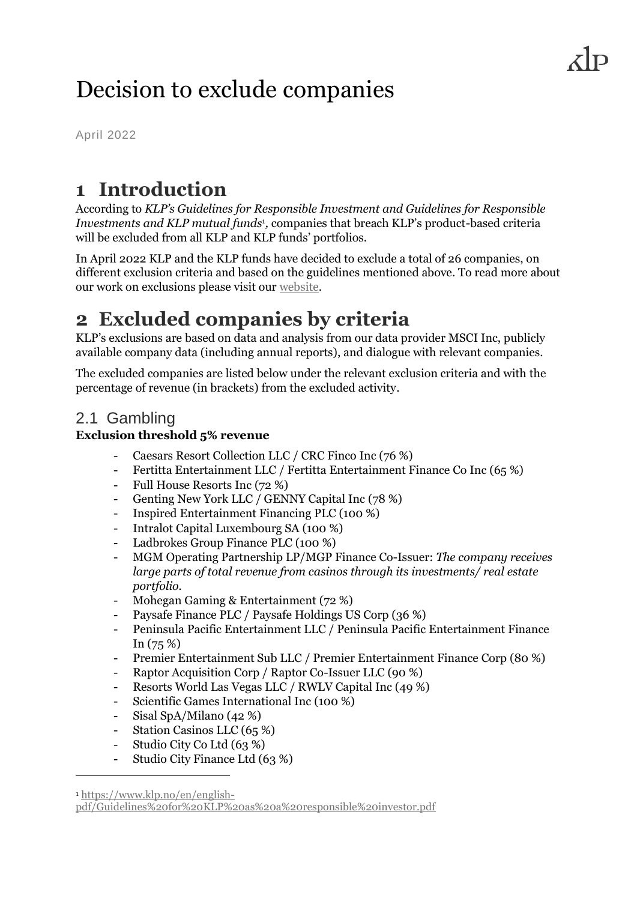# Decision to exclude companies

April 2022

### **1 Introduction**

According to *KLP's Guidelines for Responsible Investment and Guidelines for Responsible Investments and KLP mutual funds*<sup>1</sup> *,* companies that breach KLP's product-based criteria will be excluded from all KLP and KLP funds' portfolios.

In April 2022 KLP and the KLP funds have decided to exclude a total of 26 companies, on different exclusion criteria and based on the guidelines mentioned above. To read more about our work on exclusions please visit our [website.](https://www.klp.no/en/corporate-responsibility-and-responsible-investments/exclusion-and-dialogue)

## **2 Excluded companies by criteria**

KLP's exclusions are based on data and analysis from our data provider MSCI Inc, publicly available company data (including annual reports), and dialogue with relevant companies.

The excluded companies are listed below under the relevant exclusion criteria and with the percentage of revenue (in brackets) from the excluded activity.

#### 2.1 Gambling

#### **Exclusion threshold 5% revenue**

- Caesars Resort Collection LLC / CRC Finco Inc (76 %)
- Fertitta Entertainment LLC / Fertitta Entertainment Finance Co Inc (65 %)
- Full House Resorts Inc (72 %)
- Genting New York LLC / GENNY Capital Inc (78 %)
- Inspired Entertainment Financing PLC (100 %)
- Intralot Capital Luxembourg SA (100 %)
- Ladbrokes Group Finance PLC (100 %)
- MGM Operating Partnership LP/MGP Finance Co-Issuer: *The company receives large parts of total revenue from casinos through its investments/ real estate portfolio.*
- Mohegan Gaming & Entertainment (72 %)
- Paysafe Finance PLC / Paysafe Holdings US Corp (36 %)
- Peninsula Pacific Entertainment LLC / Peninsula Pacific Entertainment Finance In (75 %)
- Premier Entertainment Sub LLC / Premier Entertainment Finance Corp (80 %)
- Raptor Acquisition Corp / Raptor Co-Issuer LLC (90 %)
- Resorts World Las Vegas LLC / RWLV Capital Inc (49 %)
- Scientific Games International Inc (100 %)
- Sisal SpA/Milano (42 %)
- Station Casinos LLC (65 %)
- Studio City Co Ltd (63 %)
- Studio City Finance Ltd (63 %)

<sup>1</sup> [https://www.klp.no/en/english-](https://www.klp.no/en/english-pdf/Guidelines%20for%20KLP%20as%20a%20responsible%20investor.pdf)

[pdf/Guidelines%20for%20KLP%20as%20a%20responsible%20investor.pdf](https://www.klp.no/en/english-pdf/Guidelines%20for%20KLP%20as%20a%20responsible%20investor.pdf)